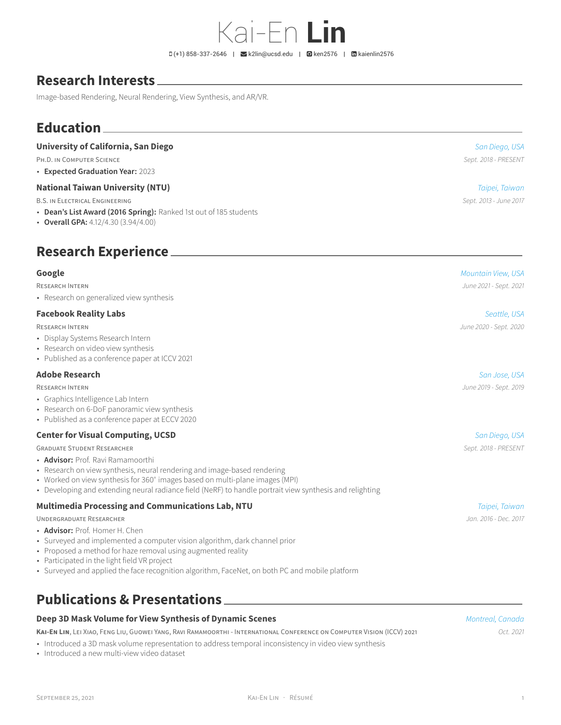Kai-En **Lin**

# **Research Interests**

Image-based Rendering, Neural Rendering, View Synthesis, and AR/VR.

# **Education**

#### **University of California, San Diego** *San Diego, USA*

PH.D. IN COMPUTER SCIENCE *Sept. 2018 - PRESENT*

• **Expected Graduation Year:** 2023

#### **National Taiwan University (NTU)** *Taipei, Taiwan*

B.S. IN ELECTRICAL ENGINEERING *Sept. 2013 - June 2017*

- **Dean's List Award (2016 Spring):** Ranked 1st out of 185 students
- **Overall GPA:** 4.12/4.30 (3.94/4.00)

# **Research Experience**

• Research on generalized view synthesis

#### **Facebook Reality Labs** *Seattle, USA*

- Display Systems Research Intern
- Research on video view synthesis
- Published as a conference paper at ICCV 2021

### **Adobe Research** *San Jose, USA*

- Graphics Intelligence Lab Intern
- Research on 6-DoF panoramic view synthesis
- Published as a conference paper at ECCV 2020

#### **Center for Visual Computing, UCSD** *San Diego, USA*

GRADUATE STUDENT RESEARCHER *Sept. 2018 - PRESENT*

- **Advisor:** Prof. Ravi Ramamoorthi
- Research on view synthesis, neural rendering and image-based rendering
- Worked on view synthesis for 360<sup>∘</sup> images based on multi-plane images (MPI)
- Developing and extending neural radiance field (NeRF) to handle portrait view synthesis and relighting

#### **Multimedia Processing and Communications Lab, NTU** *Taipei, Taiwan*

#### UNDERGRADUATE RESEARCHER *Jan. 2016 - Dec. 2017*

- **Advisor:** Prof. Homer H. Chen
- Surveyed and implemented a computer vision algorithm, dark channel prior
- Proposed a method for haze removal using augmented reality
- Participated in the light field VR project
- Surveyed and applied the face recognition algorithm, FaceNet, on both PC and mobile platform

## **Publications & Presentations**

#### **Deep 3D Mask Volume for View Synthesis of Dynamic Scenes** *Montreal, Canada*

**KAI-EN LIN**, LEI XIAO, FENG LIU, GUOWEI YANG, RAVI RAMAMOORTHI - INTERNATIONAL CONFERENCE ON COMPUTER VISION (ICCV) 2021 *Oct. 2021*

- Introduced a 3D mask volume representation to address temporal inconsistency in video view synthesis
- Introduced a new multi-view video dataset

**Google** *Mountain View, USA*

RESEARCH INTERN *June 2021 - Sept. 2021*

# RESEARCH INTERN *June 2020 - Sept. 2020*

RESEARCH INTERN *June 2019 - Sept. 2019*